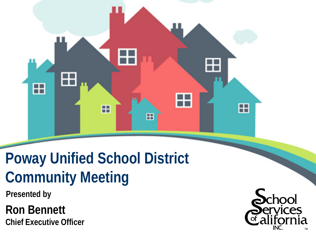

# **Poway Unified School District Community Meeting**

**Presented by**

**Ron Bennett Chief Executive Officer**

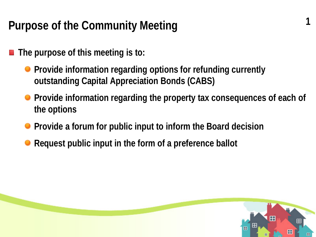### **Purpose of the Community Meeting**

- **The purpose of this meeting is to:**
	- **Provide information regarding options for refunding currently outstanding Capital Appreciation Bonds (CABS)**
	- **Provide information regarding the property tax consequences of each of the options**

**1**

- **Provide a forum for public input to inform the Board decision**
- **Request public input in the form of a preference ballot**

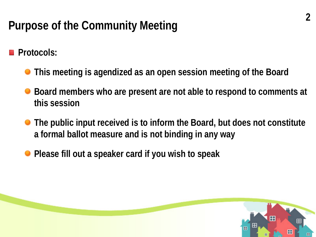## **Purpose of the Community Meeting**

**Protocols:**

- **This meeting is agendized as an open session meeting of the Board**
- **Board members who are present are not able to respond to comments at this session**
- **The public input received is to inform the Board, but does not constitute a formal ballot measure and is not binding in any way**
- **Please fill out a speaker card if you wish to speak**

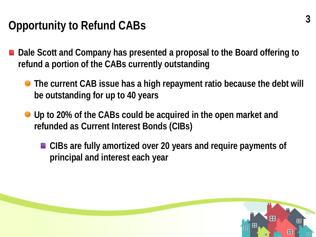## **Opportunity to Refund CABs**

- Dale Scott and Company has presented a proposal to the Board offering to **refund a portion of the CABs currently outstanding** 
	- **The current CAB issue has a high repayment ratio because the debt will be outstanding for up to 40 years**
	- **Up to 20% of the CABs could be acquired in the open market and refunded as Current Interest Bonds (CIBs)**
		- CIBs are fully amortized over 20 years and require payments of **principal and interest each year**

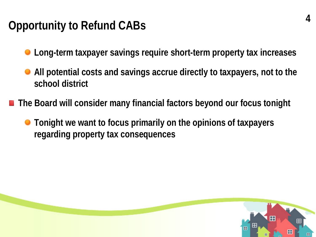### **Opportunity to Refund CABs**

- **Long-term taxpayer savings require short-term property tax increases**
- **All potential costs and savings accrue directly to taxpayers, not to the school district**
- The Board will consider many financial factors beyond our focus tonight
	- **Tonight we want to focus primarily on the opinions of taxpayers regarding property tax consequences**

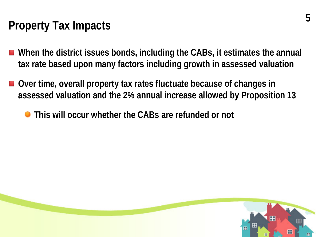### **Property Tax Impacts**

- When the district issues bonds, including the CABs, it estimates the annual **tax rate based upon many factors including growth in assessed valuation**
- Over time, overall property tax rates fluctuate because of changes in **assessed valuation and the 2% annual increase allowed by Proposition 13**
	- **This will occur whether the CABs are refunded or not**

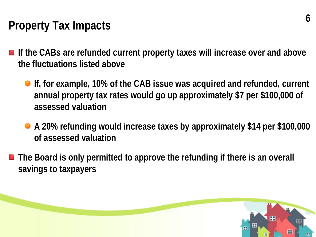## **Property Tax Impacts**

- If the CABs are refunded current property taxes will increase over and above **the fluctuations listed above**
	- **If, for example, 10% of the CAB issue was acquired and refunded, current annual property tax rates would go up approximately \$7 per \$100,000 of assessed valuation**
	- **A 20% refunding would increase taxes by approximately \$14 per \$100,000 of assessed valuation**
- The Board is only permitted to approve the refunding if there is an overall **savings to taxpayers**

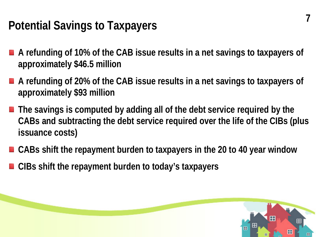## **Potential Savings to Taxpayers**

- A refunding of 10% of the CAB issue results in a net savings to taxpayers of **approximately \$46.5 million**
- A refunding of 20% of the CAB issue results in a net savings to taxpayers of **approximately \$93 million**
- The savings is computed by adding all of the debt service required by the **CABs and subtracting the debt service required over the life of the CIBs (plus issuance costs)**
- CABs shift the repayment burden to taxpayers in the 20 to 40 year window
- CIBs shift the repayment burden to today's taxpayers

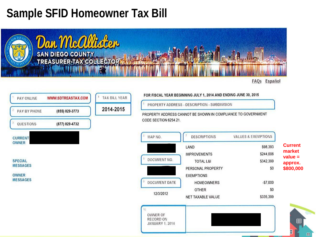### **Sample SFID Homeowner Tax Bill**



Español FAQs

| PAY ONLINE      | <b>WWW.SDTREASTAX.COM</b> | <b>TAX BILL YEAR</b> |
|-----------------|---------------------------|----------------------|
| PAY BY PHONE    | (855) 829-3773            | 2014-2015            |
| QUESTIONS       | (877) 829-4732            |                      |
|                 |                           |                      |
| <b>CURRENT</b>  |                           |                      |
| <b>OWNER</b>    |                           |                      |
| <b>SPECIAL</b>  |                           |                      |
| <b>MESSAGES</b> |                           |                      |
| <b>OWNER</b>    |                           |                      |

#### FOR FISCAL YEAR BEGINNING JULY 1, 2014 AND ENDING JUNE 30, 2015

PROPERTY ADDRESS - DESCRIPTION - SUBDIVISION

PROPERTY ADDRESS CANNOT BE SHOWN IN COMPLIANCE TO GOVERNMENT CODE SECTION 6254.21.

| E<br>MAP NO.         | <b>DESCRIPTIONS</b>  | <b>VALUES &amp; EXEMPTIONS</b> |
|----------------------|----------------------|--------------------------------|
|                      | LAND                 | \$98,393                       |
|                      | <b>IMPROVEMENTS</b>  | \$244,006                      |
| DOCUMENT NO.         | <b>TOTAL L&amp;I</b> | \$342,399                      |
|                      | PERSONAL PROPERTY    | \$0                            |
|                      | <b>EXEMPTIONS</b>    |                                |
| <b>DOCUMENT DATE</b> | <b>HOMEOWNERS</b>    | $-57,000$                      |
|                      | <b>OTHER</b>         | \$O                            |
| 12/3/2012            | NET TAXABLE VALUE    | \$335,399                      |

**Current market value = approx. \$800,000** 



田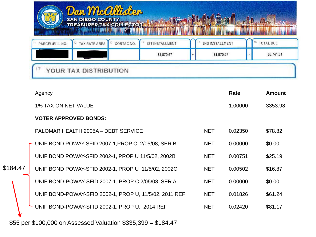|          |                                                    | <b>Dan Mcallhotor</b><br><b>SAN DIEGO COUNTY</b><br><b>TREASURER-TAX COLLECTOR</b>                             |  |                                                        |                         |         |          |               |
|----------|----------------------------------------------------|----------------------------------------------------------------------------------------------------------------|--|--------------------------------------------------------|-------------------------|---------|----------|---------------|
|          | PARCEL/BILL NO.                                    | 15 <sup>°</sup><br><b>1ST INSTALLMENT</b><br>2ND INSTALLMENT<br><b>TAX RATE AREA</b><br>14<br>12<br>CORTAC NO. |  |                                                        | <sup>16</sup> TOTAL DUE |         |          |               |
|          |                                                    |                                                                                                                |  | \$1,870.67                                             | \$1,870.67              |         | $\equiv$ | \$3,741.34    |
|          |                                                    | YOUR TAX DISTRIBUTION                                                                                          |  |                                                        |                         |         |          |               |
|          | Agency                                             |                                                                                                                |  |                                                        |                         | Rate    |          | <b>Amount</b> |
|          | <b>1% TAX ON NET VALUE</b>                         |                                                                                                                |  |                                                        |                         | 1.00000 |          | 3353.98       |
|          | <b>VOTER APPROVED BONDS:</b>                       |                                                                                                                |  |                                                        |                         |         |          |               |
|          | PALOMAR HEALTH 2005A - DEBT SERVICE                |                                                                                                                |  |                                                        | <b>NET</b>              | 0.02350 |          | \$78.82       |
|          | UNIF BOND POWAY-SFID 2007-1, PROP C 2/05/08, SER B |                                                                                                                |  |                                                        | <b>NET</b>              | 0.00000 |          | \$0.00        |
|          | UNIF BOND POWAY-SFID 2002-1, PROP U 11/5/02, 2002B |                                                                                                                |  |                                                        | <b>NET</b>              | 0.00751 |          | \$25.19       |
| \$184.47 | UNIF BOND POWAY-SFID 2002-1, PROP U 11/5/02, 2002C |                                                                                                                |  |                                                        | <b>NET</b>              | 0.00502 |          | \$16.87       |
|          | UNIF BOND-POWAY-SFID 2007-1, PROP C 2/05/08, SER A |                                                                                                                |  |                                                        | <b>NET</b>              | 0.00000 |          | \$0.00        |
|          |                                                    |                                                                                                                |  | UNIF BOND-POWAY-SFID 2002-1, PROP U, 11/5/02, 2011 REF | <b>NET</b>              | 0.01826 |          | \$61.24       |
|          | UNIF BOND-POWAY-SFID 2002-1, PROP U, 2014 REF      |                                                                                                                |  |                                                        | <b>NET</b>              | 0.02420 |          | \$81.17       |

\$55 per \$100,000 on Assessed Valuation \$335,399 = \$184.47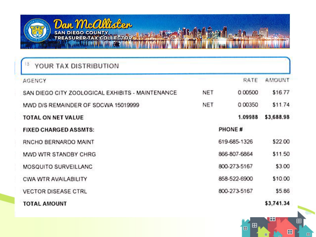

| YOUR TAX DISTRIBUTION                            |            |              |            |
|--------------------------------------------------|------------|--------------|------------|
| <b>AGENCY</b>                                    |            | RATE         | AMOUNT     |
| SAN DIEGO CITY ZOOLOGICAL EXHIBITS - MAINTENANCE | <b>NET</b> | 0.00500      | \$16.77    |
| MWD D/S REMAINDER OF SDCWA 15019999              | <b>NET</b> | 0.00350      | \$11.74    |
| TOTAL ON NET VALUE                               |            | 1.09988      | \$3,688.98 |
| <b>FIXED CHARGED ASSMTS:</b>                     |            | PHONE #      |            |
| RNCHO BERNARDO MAINT                             |            | 619-685-1326 | \$22.00    |
| MWD WTR STANDBY CHRG                             |            | 866-807-6864 | \$11.50    |
| MOSQUITO SURVEILLANC                             |            | 800-273-5167 | \$3.00     |
| CWA WTR AVAILABILITY                             |            | 858-522-6900 | \$10.00    |
| <b>VECTOR DISEASE CTRL</b>                       |            | 800-273-5167 | \$5.86     |
| <b>TOTAL AMOUNT</b>                              |            |              | \$3,741.34 |

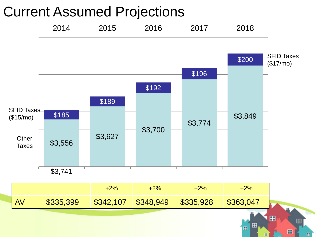## Current Assumed Projections



田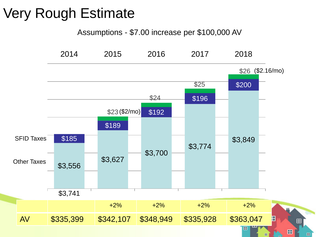## Very Rough Estimate

Assumptions - \$7.00 increase per \$100,000 AV



田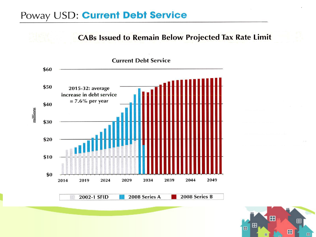### Poway USD: Current Debt Service

**CABs Issued to Remain Below Projected Tax Rate Limit** 



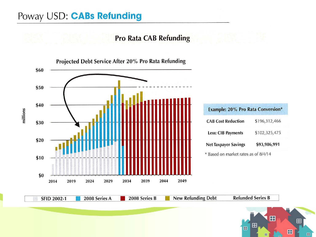### Poway USD: CABs Refunding

### **Pro Rata CAB Refunding**



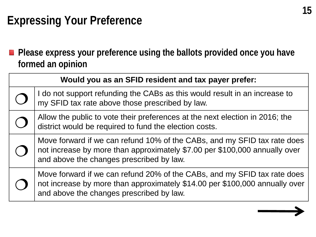### **Expressing Your Preference**

■ Please express your preference using the ballots provided once you have **formed an opinion**

| Would you as an SFID resident and tax payer prefer:                                                                                                                                                 |
|-----------------------------------------------------------------------------------------------------------------------------------------------------------------------------------------------------|
| I do not support refunding the CABs as this would result in an increase to<br>my SFID tax rate above those prescribed by law.                                                                       |
| Allow the public to vote their preferences at the next election in 2016; the<br>district would be required to fund the election costs.                                                              |
| Move forward if we can refund 10% of the CABs, and my SFID tax rate does<br>not increase by more than approximately \$7.00 per \$100,000 annually over<br>and above the changes prescribed by law.  |
| Move forward if we can refund 20% of the CABs, and my SFID tax rate does<br>not increase by more than approximately \$14.00 per \$100,000 annually over<br>and above the changes prescribed by law. |

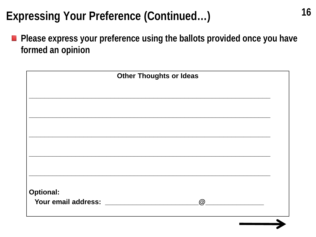### **Expressing Your Preference (Continued…)**

**Please express your preference using the ballots provided once you have formed an opinion**

| <b>Other Thoughts or Ideas</b> |             |  |
|--------------------------------|-------------|--|
|                                |             |  |
|                                |             |  |
|                                |             |  |
|                                |             |  |
|                                |             |  |
|                                |             |  |
|                                |             |  |
|                                |             |  |
|                                |             |  |
|                                |             |  |
|                                |             |  |
| <b>Optional:</b>               |             |  |
| Your email address: Your email | $\circledR$ |  |
|                                |             |  |
|                                |             |  |